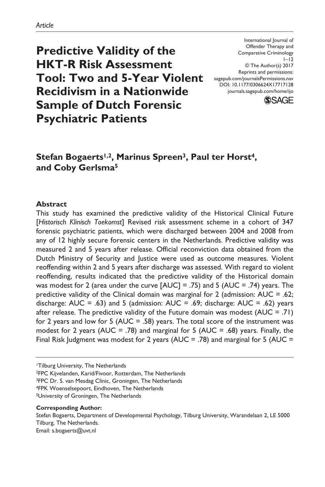**Predictive Validity of the HKT-R Risk Assessment Tool: Two and 5-Year Violent Recidivism in a Nationwide Sample of Dutch Forensic Psychiatric Patients**

DOI: 10.1177/0306624X17717128 International Journal of Offender Therapy and Comparative Criminology  $1 - 12$ © The Author(s) 2017 Reprints and permissions: [sagepub.com/journalsPermissions.nav](https://us.sagepub.com/en-us/journals-permissions) [journals.sagepub.com/home/ijo](https://journals.sagepub.com/home/ijo)



# Stefan Bogaerts<sup>1,2</sup>, Marinus Spreen<sup>3</sup>, Paul ter Horst<sup>4</sup>, **and Coby Gerlsma5**

#### **Abstract**

This study has examined the predictive validity of the Historical Clinical Future [*Historisch Klinisch Toekomst*] Revised risk assessment scheme in a cohort of 347 forensic psychiatric patients, which were discharged between 2004 and 2008 from any of 12 highly secure forensic centers in the Netherlands. Predictive validity was measured 2 and 5 years after release. Official reconviction data obtained from the Dutch Ministry of Security and Justice were used as outcome measures. Violent reoffending within 2 and 5 years after discharge was assessed. With regard to violent reoffending, results indicated that the predictive validity of the Historical domain was modest for 2 (area under the curve [AUC] = .75) and 5 (AUC = .74) years. The predictive validity of the Clinical domain was marginal for 2 (admission: AUC = .62; discharge:  $AUC = .63$ ) and 5 (admission:  $AUC = .69$ ; discharge:  $AUC = .62$ ) years after release. The predictive validity of the Future domain was modest (AUC = .71) for 2 years and low for 5 (AUC = .58) years. The total score of the instrument was modest for 2 years (AUC = .78) and marginal for 5 (AUC = .68) years. Finally, the Final Risk Judgment was modest for 2 years (AUC = .78) and marginal for 5 (AUC =

1Tilburg University, The Netherlands

2FPC Kijvelanden, Karid/Fivoor, Rotterdam, The Netherlands

3FPC Dr. S. van Mesdag Clinic, Groningen, The Netherlands

4FPK Woenselsepoort, Eindhoven, The Netherlands

5University of Groningen, The Netherlands

#### **Corresponding Author:**

Stefan Bogaerts, Department of Developmental Psychology, Tilburg University, Warandelaan 2, LE 5000 Tilburg, The Netherlands. Email: [s.bogaerts@uvt.nl](mailto:s.bogaerts@uvt.nl)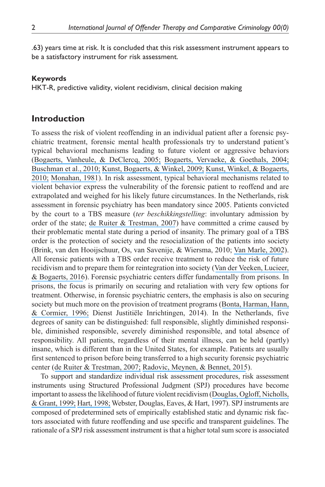.63) years time at risk. It is concluded that this risk assessment instrument appears to be a satisfactory instrument for risk assessment.

#### **Keywords**

HKT-R, predictive validity, violent recidivism, clinical decision making

### **Introduction**

To assess the risk of violent reoffending in an individual patient after a forensic psychiatric treatment, forensic mental health professionals try to understand patient's typical behavioral mechanisms leading to future violent or aggressive behaviors ([Bogaerts, Vanheule, & DeClercq, 2005;](https://www.researchgate.net/publication/228353142_Recalled_parental_bonding_adult_attachment_style_and_personality_disorders_in_child_molesters_A_comparative_study?el=1_x_8&enrichId=rgreq-016969f6c4cc16cee1385d367f13c2f5-XXX&enrichSource=Y292ZXJQYWdlOzMxNzQ5MjAzNTtBUzo1MTA2MzIwOTQxMTM3OTJAMTQ5ODc1NTU4NjE4OQ==) [Bogaerts, Vervaeke, & Goethals, 2004;](https://www.researchgate.net/publication/5333093_A_Comparison_of_Relational_Attitude_and_Personality_Disorders_in_the_Explanation_of_Child_Molestation?el=1_x_8&enrichId=rgreq-016969f6c4cc16cee1385d367f13c2f5-XXX&enrichSource=Y292ZXJQYWdlOzMxNzQ5MjAzNTtBUzo1MTA2MzIwOTQxMTM3OTJAMTQ5ODc1NTU4NjE4OQ==) [Buschman et](https://www.researchgate.net/publication/24355320_Sexual_History_Disclosure_Polygraph_Examinations_With_Cybercrime_Offences_A_First_Dutch_Explorative_Study?el=1_x_8&enrichId=rgreq-016969f6c4cc16cee1385d367f13c2f5-XXX&enrichSource=Y292ZXJQYWdlOzMxNzQ5MjAzNTtBUzo1MTA2MzIwOTQxMTM3OTJAMTQ5ODc1NTU4NjE4OQ==) al., 2010; [Kunst, Bogaerts, & Winkel, 2009;](https://www.researchgate.net/publication/227907135_Peer_and_inmate_aggression_type_D-personality_and_post-traumatic_stress_among_Dutch_prison_workers?el=1_x_8&enrichId=rgreq-016969f6c4cc16cee1385d367f13c2f5-XXX&enrichSource=Y292ZXJQYWdlOzMxNzQ5MjAzNTtBUzo1MTA2MzIwOTQxMTM3OTJAMTQ5ODc1NTU4NjE4OQ==) [Kunst, Winkel, & Bogaerts,](https://www.researchgate.net/publication/247839502_Posttraumatic_Growth_Moderates_the_Association_Between_Violent_Revictimization_and_Persisting_PTSD_Symptoms_in_Victims_of_Interpersonal_Violence_A_Six-Month_Follow-Up_Study?el=1_x_8&enrichId=rgreq-016969f6c4cc16cee1385d367f13c2f5-XXX&enrichSource=Y292ZXJQYWdlOzMxNzQ5MjAzNTtBUzo1MTA2MzIwOTQxMTM3OTJAMTQ5ODc1NTU4NjE4OQ==)  [2010;](https://www.researchgate.net/publication/247839502_Posttraumatic_Growth_Moderates_the_Association_Between_Violent_Revictimization_and_Persisting_PTSD_Symptoms_in_Victims_of_Interpersonal_Violence_A_Six-Month_Follow-Up_Study?el=1_x_8&enrichId=rgreq-016969f6c4cc16cee1385d367f13c2f5-XXX&enrichSource=Y292ZXJQYWdlOzMxNzQ5MjAzNTtBUzo1MTA2MzIwOTQxMTM3OTJAMTQ5ODc1NTU4NjE4OQ==) [Monahan, 1981](https://www.researchgate.net/publication/274349710_Predicting_Violent_Behavior_An_Assessment_of_Clinical_Techniques?el=1_x_8&enrichId=rgreq-016969f6c4cc16cee1385d367f13c2f5-XXX&enrichSource=Y292ZXJQYWdlOzMxNzQ5MjAzNTtBUzo1MTA2MzIwOTQxMTM3OTJAMTQ5ODc1NTU4NjE4OQ==)). In risk assessment, typical behavioral mechanisms related to violent behavior express the vulnerability of the forensic patient to reoffend and are extrapolated and weighed for his likely future circumstances. In the Netherlands, risk assessment in forensic psychiatry has been mandatory since 2005. Patients convicted by the court to a TBS measure (*ter beschikkingstelling*: involuntary admission by order of the state; [de Ruiter & Trestman, 2007](https://www.researchgate.net/publication/6418855_Prevalence_and_treatment_of_personality_disorders_in_Dutch_forensic_mental_health_services?el=1_x_8&enrichId=rgreq-016969f6c4cc16cee1385d367f13c2f5-XXX&enrichSource=Y292ZXJQYWdlOzMxNzQ5MjAzNTtBUzo1MTA2MzIwOTQxMTM3OTJAMTQ5ODc1NTU4NjE4OQ==)) have committed a crime caused by their problematic mental state during a period of insanity. The primary goal of a TBS order is the protection of society and the resocialization of the patients into society (Brink, van den Hooijschuur, Os, van Savenije, & Wiersma, 2010; [Van Marle, 2002](https://www.researchgate.net/publication/242280647_The_Dutch_Entrustment_Act_TBS_Its_Principles_and_Innovations?el=1_x_8&enrichId=rgreq-016969f6c4cc16cee1385d367f13c2f5-XXX&enrichSource=Y292ZXJQYWdlOzMxNzQ5MjAzNTtBUzo1MTA2MzIwOTQxMTM3OTJAMTQ5ODc1NTU4NjE4OQ==)). All forensic patients with a TBS order receive treatment to reduce the risk of future recidivism and to prepare them for reintegration into society ([Van der Veeken, Lucieer,](https://www.researchgate.net/publication/306087260_Routine_Outcome_Monitoring_and_Clinical_Decision-Making_in_Forensic_Psychiatry_Based_on_the_Instrument_for_Forensic_Treatment_Evaluation?el=1_x_8&enrichId=rgreq-016969f6c4cc16cee1385d367f13c2f5-XXX&enrichSource=Y292ZXJQYWdlOzMxNzQ5MjAzNTtBUzo1MTA2MzIwOTQxMTM3OTJAMTQ5ODc1NTU4NjE4OQ==)  [& Bogaerts, 2016](https://www.researchgate.net/publication/306087260_Routine_Outcome_Monitoring_and_Clinical_Decision-Making_in_Forensic_Psychiatry_Based_on_the_Instrument_for_Forensic_Treatment_Evaluation?el=1_x_8&enrichId=rgreq-016969f6c4cc16cee1385d367f13c2f5-XXX&enrichSource=Y292ZXJQYWdlOzMxNzQ5MjAzNTtBUzo1MTA2MzIwOTQxMTM3OTJAMTQ5ODc1NTU4NjE4OQ==)). Forensic psychiatric centers differ fundamentally from prisons. In prisons, the focus is primarily on securing and retaliation with very few options for treatment. Otherwise, in forensic psychiatric centers, the emphasis is also on securing society but much more on the provision of treatment programs ([Bonta, Harman, Hann,](https://www.researchgate.net/publication/286016966_The_prediction_of_recidivism_among_federally_sentenced_offenders_A_re-validation_of_the_SIR_scale?el=1_x_8&enrichId=rgreq-016969f6c4cc16cee1385d367f13c2f5-XXX&enrichSource=Y292ZXJQYWdlOzMxNzQ5MjAzNTtBUzo1MTA2MzIwOTQxMTM3OTJAMTQ5ODc1NTU4NjE4OQ==) [& Cormier, 1996;](https://www.researchgate.net/publication/286016966_The_prediction_of_recidivism_among_federally_sentenced_offenders_A_re-validation_of_the_SIR_scale?el=1_x_8&enrichId=rgreq-016969f6c4cc16cee1385d367f13c2f5-XXX&enrichSource=Y292ZXJQYWdlOzMxNzQ5MjAzNTtBUzo1MTA2MzIwOTQxMTM3OTJAMTQ5ODc1NTU4NjE4OQ==) Dienst Justitiële Inrichtingen, 2014). In the Netherlands, five degrees of sanity can be distinguished: full responsible, slightly diminished responsible, diminished responsible, severely diminished responsible, and total absence of responsibility. All patients, regardless of their mental illness, can be held (partly) insane, which is different than in the United States, for example. Patients are usually first sentenced to prison before being transferred to a high security forensic psychiatric center ([de Ruiter & Trestman, 2007;](https://www.researchgate.net/publication/6418855_Prevalence_and_treatment_of_personality_disorders_in_Dutch_forensic_mental_health_services?el=1_x_8&enrichId=rgreq-016969f6c4cc16cee1385d367f13c2f5-XXX&enrichSource=Y292ZXJQYWdlOzMxNzQ5MjAzNTtBUzo1MTA2MzIwOTQxMTM3OTJAMTQ5ODc1NTU4NjE4OQ==) [Radovic, Meynen, & Bennet, 2015](https://www.researchgate.net/publication/277133374_Introducing_a_standard_of_legal_insanity_The_case_of_Sweden_compared_to_The_Netherlands?el=1_x_8&enrichId=rgreq-016969f6c4cc16cee1385d367f13c2f5-XXX&enrichSource=Y292ZXJQYWdlOzMxNzQ5MjAzNTtBUzo1MTA2MzIwOTQxMTM3OTJAMTQ5ODc1NTU4NjE4OQ==)).

To support and standardize individual risk assessment procedures, risk assessment instruments using Structured Professional Judgment (SPJ) procedures have become important to assess the likelihood of future violent recidivism ([Douglas, Ogloff, Nicholls,](https://www.researchgate.net/publication/12703929_Assessing_risk_for_violence_among_psychiatric_patients_The_HCR-20_Violence_Risk_Assessment_Scheme_and_the_Psychopathy_Checklist_Screening_Version?el=1_x_8&enrichId=rgreq-016969f6c4cc16cee1385d367f13c2f5-XXX&enrichSource=Y292ZXJQYWdlOzMxNzQ5MjAzNTtBUzo1MTA2MzIwOTQxMTM3OTJAMTQ5ODc1NTU4NjE4OQ==)  [& Grant, 1999;](https://www.researchgate.net/publication/12703929_Assessing_risk_for_violence_among_psychiatric_patients_The_HCR-20_Violence_Risk_Assessment_Scheme_and_the_Psychopathy_Checklist_Screening_Version?el=1_x_8&enrichId=rgreq-016969f6c4cc16cee1385d367f13c2f5-XXX&enrichSource=Y292ZXJQYWdlOzMxNzQ5MjAzNTtBUzo1MTA2MzIwOTQxMTM3OTJAMTQ5ODc1NTU4NjE4OQ==) [Hart, 1998;](https://www.researchgate.net/publication/227763359_The_role_of_psychopathy_in_assessing_risk_for_violence_Conceptual_and_methodological_issues?el=1_x_8&enrichId=rgreq-016969f6c4cc16cee1385d367f13c2f5-XXX&enrichSource=Y292ZXJQYWdlOzMxNzQ5MjAzNTtBUzo1MTA2MzIwOTQxMTM3OTJAMTQ5ODc1NTU4NjE4OQ==) Webster, Douglas, Eaves, & Hart, 1997). SPJ instruments are composed of predetermined sets of empirically established static and dynamic risk factors associated with future reoffending and use specific and transparent guidelines. The rationale of a SPJ risk assessment instrument is that a higher total sum score is associated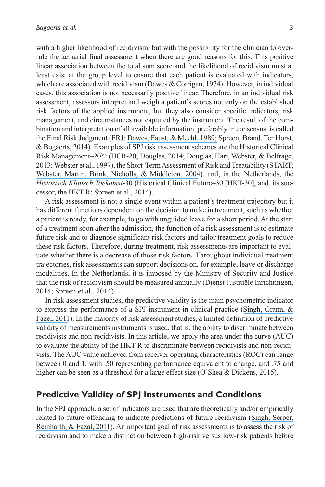with a higher likelihood of recidivism, but with the possibility for the clinician to overrule the actuarial final assessment when there are good reasons for this. This positive linear association between the total sum score and the likelihood of recidivism must at least exist at the group level to ensure that each patient is evaluated with indicators, which are associated with recidivism ([Dawes & Corrigan, 1974](https://www.researchgate.net/publication/232556903_Linear_Models_in_Decision_Making?el=1_x_8&enrichId=rgreq-016969f6c4cc16cee1385d367f13c2f5-XXX&enrichSource=Y292ZXJQYWdlOzMxNzQ5MjAzNTtBUzo1MTA2MzIwOTQxMTM3OTJAMTQ5ODc1NTU4NjE4OQ==)). However, in individual cases, this association is not necessarily positive linear. Therefore, in an individual risk assessment, assessors interpret and weigh a patient's scores not only on the established risk factors of the applied instrument, but they also consider specific indicators, risk management, and circumstances not captured by the instrument. The result of the combination and interpretation of all available information, preferably in consensus, is called the Final Risk Judgment (FRJ; [Dawes, Faust, & Meehl, 1989;](https://www.researchgate.net/publication/20506794_Clinical_Versus_Actuarial_Judgment?el=1_x_8&enrichId=rgreq-016969f6c4cc16cee1385d367f13c2f5-XXX&enrichSource=Y292ZXJQYWdlOzMxNzQ5MjAzNTtBUzo1MTA2MzIwOTQxMTM3OTJAMTQ5ODc1NTU4NjE4OQ==) Spreen, Brand, Ter Horst, & Bogaerts, 2014). Examples of SPJ risk assessment schemes are the Historical Clinical Risk Management–20V3 (HCR-20; Douglas, 2014; [Douglas, Hart, Webster, & Belfrage,](https://www.researchgate.net/publication/316998939_HCR-20V3_Assessing_risk_for_violence?el=1_x_8&enrichId=rgreq-016969f6c4cc16cee1385d367f13c2f5-XXX&enrichSource=Y292ZXJQYWdlOzMxNzQ5MjAzNTtBUzo1MTA2MzIwOTQxMTM3OTJAMTQ5ODc1NTU4NjE4OQ==) [2013;](https://www.researchgate.net/publication/316998939_HCR-20V3_Assessing_risk_for_violence?el=1_x_8&enrichId=rgreq-016969f6c4cc16cee1385d367f13c2f5-XXX&enrichSource=Y292ZXJQYWdlOzMxNzQ5MjAzNTtBUzo1MTA2MzIwOTQxMTM3OTJAMTQ5ODc1NTU4NjE4OQ==) Webster et al., 1997), the Short-Term Assessment of Risk and Treatability (START; [Webster, Martin, Brink, Nicholls, & Middleton, 2004](https://www.researchgate.net/publication/256199926_Short-Term_Assessment_of_Risk_and_Treatability_START_Instructors)), and, in the Netherlands, the *Historisch Klinisch Toekomst*-30 (Historical Clinical Future–30 [HKT-30], and, its successor, the HKT-R; Spreen et al., 2014).

A risk assessment is not a single event within a patient's treatment trajectory but it has different functions dependent on the decision to make in treatment, such as whether a patient is ready, for example, to go with unguided leave for a short period. At the start of a treatment soon after the admission, the function of a risk assessment is to estimate future risk and to diagnose significant risk factors and tailor treatment goals to reduce these risk factors. Therefore, during treatment, risk assessments are important to evaluate whether there is a decrease of those risk factors. Throughout individual treatment trajectories, risk assessments can support decisions on, for example, leave or discharge modalities. In the Netherlands, it is imposed by the Ministry of Security and Justice that the risk of recidivism should be measured annually (Dienst Justitiële Inrichtingen, 2014; Spreen et al., 2014).

In risk assessment studies, the predictive validity is the main psychometric indicator to express the performance of a SPJ instrument in clinical practice ([Singh, Grann, &](https://www.researchgate.net/publication/49775226_A_comparative_study_of_violence_risk_assessment_tools_A_systematic_review_and_metaregression_analysis_of_68_studies_involving_25980_participants?el=1_x_8&enrichId=rgreq-016969f6c4cc16cee1385d367f13c2f5-XXX&enrichSource=Y292ZXJQYWdlOzMxNzQ5MjAzNTtBUzo1MTA2MzIwOTQxMTM3OTJAMTQ5ODc1NTU4NjE4OQ==)  [Fazel, 2011](https://www.researchgate.net/publication/49775226_A_comparative_study_of_violence_risk_assessment_tools_A_systematic_review_and_metaregression_analysis_of_68_studies_involving_25980_participants?el=1_x_8&enrichId=rgreq-016969f6c4cc16cee1385d367f13c2f5-XXX&enrichSource=Y292ZXJQYWdlOzMxNzQ5MjAzNTtBUzo1MTA2MzIwOTQxMTM3OTJAMTQ5ODc1NTU4NjE4OQ==)). In the majority of risk assessment studies, a limited definition of predictive validity of measurements instruments is used, that is, the ability to discriminate between recidivists and non-recidivists. In this article, we apply the area under the curve (AUC) to evaluate the ability of the HKT-R to discriminate between recidivists and non-recidivists. The AUC value achieved from receiver operating characteristics (ROC) can range between 0 and 1, with .50 representing performance equivalent to change, and .75 and higher can be seen as a threshold for a large effect size (O'Shea & Dickens, 2015).

### **Predictive Validity of SPJ Instruments and Conditions**

In the SPJ approach, a set of indicators are used that are theoretically and/or empirically related to future offending to indicate predictions of future recidivism ([Singh, Serper,](https://www.researchgate.net/publication/51588785_Structured_Assessment_of_Violence_Risk_in_Schizophrenia_and_Other_Psychiatric_Disorders_A_Systematic_Review_of_the_Validity_Reliability_and_Item_Content_of_10_Available_Instruments?el=1_x_8&enrichId=rgreq-016969f6c4cc16cee1385d367f13c2f5-XXX&enrichSource=Y292ZXJQYWdlOzMxNzQ5MjAzNTtBUzo1MTA2MzIwOTQxMTM3OTJAMTQ5ODc1NTU4NjE4OQ==)  [Reinharth, & Fazal, 2011](https://www.researchgate.net/publication/51588785_Structured_Assessment_of_Violence_Risk_in_Schizophrenia_and_Other_Psychiatric_Disorders_A_Systematic_Review_of_the_Validity_Reliability_and_Item_Content_of_10_Available_Instruments?el=1_x_8&enrichId=rgreq-016969f6c4cc16cee1385d367f13c2f5-XXX&enrichSource=Y292ZXJQYWdlOzMxNzQ5MjAzNTtBUzo1MTA2MzIwOTQxMTM3OTJAMTQ5ODc1NTU4NjE4OQ==)). An important goal of risk assessments is to assess the risk of recidivism and to make a distinction between high-risk versus low-risk patients before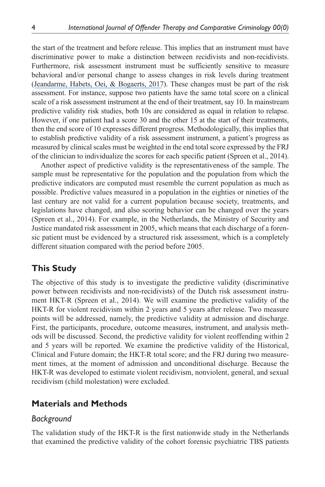the start of the treatment and before release. This implies that an instrument must have discriminative power to make a distinction between recidivists and non-recidivists. Furthermore, risk assessment instrument must be sufficiently sensitive to measure behavioral and/or personal change to assess changes in risk levels during treatment ([Jeandarme, Habets, Oei, & Bogaerts, 2017](https://www.researchgate.net/publication/311587453_PCL-R_field_validity_in_prison_and_hospital_settings?el=1_x_8&enrichId=rgreq-016969f6c4cc16cee1385d367f13c2f5-XXX&enrichSource=Y292ZXJQYWdlOzMxNzQ5MjAzNTtBUzo1MTA2MzIwOTQxMTM3OTJAMTQ5ODc1NTU4NjE4OQ==)). These changes must be part of the risk assessment. For instance, suppose two patients have the same total score on a clinical scale of a risk assessment instrument at the end of their treatment, say 10. In mainstream predictive validity risk studies, both 10s are considered as equal in relation to relapse. However, if one patient had a score 30 and the other 15 at the start of their treatments, then the end score of 10 expresses different progress. Methodologically, this implies that to establish predictive validity of a risk assessment instrument, a patient's progress as measured by clinical scales must be weighted in the end total score expressed by the FRJ of the clinician to individualize the scores for each specific patient (Spreen et al., 2014).

Another aspect of predictive validity is the representativeness of the sample. The sample must be representative for the population and the population from which the predictive indicators are computed must resemble the current population as much as possible. Predictive values measured in a population in the eighties or nineties of the last century are not valid for a current population because society, treatments, and legislations have changed, and also scoring behavior can be changed over the years (Spreen et al., 2014). For example, in the Netherlands, the Ministry of Security and Justice mandated risk assessment in 2005, which means that each discharge of a forensic patient must be evidenced by a structured risk assessment, which is a completely different situation compared with the period before 2005.

### **This Study**

The objective of this study is to investigate the predictive validity (discriminative power between recidivists and non-recidivists) of the Dutch risk assessment instrument HKT-R (Spreen et al., 2014). We will examine the predictive validity of the HKT-R for violent recidivism within 2 years and 5 years after release. Two measure points will be addressed, namely, the predictive validity at admission and discharge. First, the participants, procedure, outcome measures, instrument, and analysis methods will be discussed. Second, the predictive validity for violent reoffending within 2 and 5 years will be reported. We examine the predictive validity of the Historical, Clinical and Future domain; the HKT-R total score; and the FRJ during two measurement times, at the moment of admission and unconditional discharge. Because the HKT-R was developed to estimate violent recidivism, nonviolent, general, and sexual recidivism (child molestation) were excluded.

### **Materials and Methods**

#### *Background*

The validation study of the HKT-R is the first nationwide study in the Netherlands that examined the predictive validity of the cohort forensic psychiatric TBS patients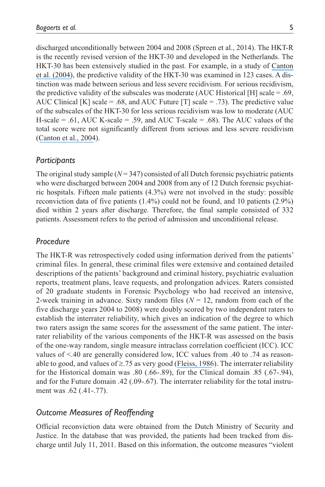discharged unconditionally between 2004 and 2008 (Spreen et al., 2014). The HKT-R is the recently revised version of the HKT-30 and developed in the Netherlands. The HKT-30 has been extensively studied in the past. For example, in a study of [Canton](https://www.researchgate.net/publication/241850896_De_voorspellende_waarde_van_risicotaxatie_bij_de_rapportage_pro_Justitia_Onderzoek_naar_de_HTK-30_en_de_klinische_inschatting?el=1_x_8&enrichId=rgreq-016969f6c4cc16cee1385d367f13c2f5-XXX&enrichSource=Y292ZXJQYWdlOzMxNzQ5MjAzNTtBUzo1MTA2MzIwOTQxMTM3OTJAMTQ5ODc1NTU4NjE4OQ==) et [al. \(2004\)](https://www.researchgate.net/publication/241850896_De_voorspellende_waarde_van_risicotaxatie_bij_de_rapportage_pro_Justitia_Onderzoek_naar_de_HTK-30_en_de_klinische_inschatting?el=1_x_8&enrichId=rgreq-016969f6c4cc16cee1385d367f13c2f5-XXX&enrichSource=Y292ZXJQYWdlOzMxNzQ5MjAzNTtBUzo1MTA2MzIwOTQxMTM3OTJAMTQ5ODc1NTU4NjE4OQ==), the predictive validity of the HKT-30 was examined in 123 cases. A distinction was made between serious and less severe recidivism. For serious recidivism, the predictive validity of the subscales was moderate (AUC Historical [H] scale = .69, AUC Clinical [K] scale = .68, and AUC Future [T] scale = .73). The predictive value of the subscales of the HKT-30 for less serious recidivism was low to moderate (AUC H-scale = .61, AUC K-scale = .59, and AUC T-scale = .68). The AUC values of the total score were not significantly different from serious and less severe recidivism ([Canton et](https://www.researchgate.net/publication/241850896_De_voorspellende_waarde_van_risicotaxatie_bij_de_rapportage_pro_Justitia_Onderzoek_naar_de_HTK-30_en_de_klinische_inschatting?el=1_x_8&enrichId=rgreq-016969f6c4cc16cee1385d367f13c2f5-XXX&enrichSource=Y292ZXJQYWdlOzMxNzQ5MjAzNTtBUzo1MTA2MzIwOTQxMTM3OTJAMTQ5ODc1NTU4NjE4OQ==) al., 2004).

### *Participants*

The original study sample  $(N = 347)$  consisted of all Dutch forensic psychiatric patients who were discharged between 2004 and 2008 from any of 12 Dutch forensic psychiatric hospitals. Fifteen male patients (4.3%) were not involved in the study: possible reconviction data of five patients (1.4%) could not be found, and 10 patients (2.9%) died within 2 years after discharge. Therefore, the final sample consisted of 332 patients. Assessment refers to the period of admission and unconditional release.

# *Procedure*

The HKT-R was retrospectively coded using information derived from the patients' criminal files. In general, these criminal files were extensive and contained detailed descriptions of the patients' background and criminal history, psychiatric evaluation reports, treatment plans, leave requests, and prolongation advices. Raters consisted of 20 graduate students in Forensic Psychology who had received an intensive, 2-week training in advance. Sixty random files  $(N = 12)$ , random from each of the five discharge years 2004 to 2008) were doubly scored by two independent raters to establish the interrater reliability, which gives an indication of the degree to which two raters assign the same scores for the assessment of the same patient. The interrater reliability of the various components of the HKT-R was assessed on the basis of the one-way random, single measure intraclass correlation coefficient (ICC). ICC values of <.40 are generally considered low, ICC values from .40 to .74 as reasonable to good, and values of ≥.75 as very good ([Fleiss, 1986](https://www.researchgate.net/publication/274908479_The_Design_and_Analysis_of_Clinical_Experiments?el=1_x_8&enrichId=rgreq-016969f6c4cc16cee1385d367f13c2f5-XXX&enrichSource=Y292ZXJQYWdlOzMxNzQ5MjAzNTtBUzo1MTA2MzIwOTQxMTM3OTJAMTQ5ODc1NTU4NjE4OQ==)). The interrater reliability for the Historical domain was .80 (.66-.89), for the Clinical domain .85 (.67-.94), and for the Future domain .42 (.09-.67). The interrater reliability for the total instrument was .62 (.41-.77).

# *Outcome Measures of Reoffending*

Official reconviction data were obtained from the Dutch Ministry of Security and Justice. In the database that was provided, the patients had been tracked from discharge until July 11, 2011. Based on this information, the outcome measures "violent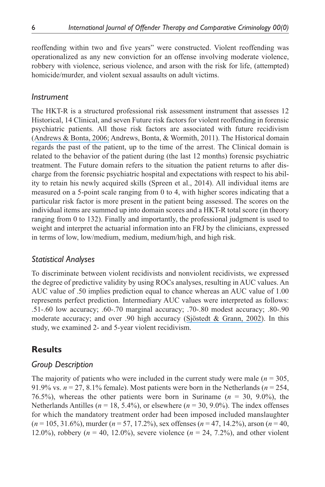reoffending within two and five years" were constructed. Violent reoffending was operationalized as any new conviction for an offense involving moderate violence, robbery with violence, serious violence, and arson with the risk for life, (attempted) homicide/murder, and violent sexual assaults on adult victims.

#### *Instrument*

The HKT-R is a structured professional risk assessment instrument that assesses 12 Historical, 14 Clinical, and seven Future risk factors for violent reoffending in forensic psychiatric patients. All those risk factors are associated with future recidivism ([Andrews & Bonta, 2006;](https://www.researchgate.net/publication/232558018_The_Psychology_Of_Criminal_Conduct?el=1_x_8&enrichId=rgreq-016969f6c4cc16cee1385d367f13c2f5-XXX&enrichSource=Y292ZXJQYWdlOzMxNzQ5MjAzNTtBUzo1MTA2MzIwOTQxMTM3OTJAMTQ5ODc1NTU4NjE4OQ==) Andrews, Bonta, & Wormith, 2011). The Historical domain regards the past of the patient, up to the time of the arrest. The Clinical domain is related to the behavior of the patient during (the last 12 months) forensic psychiatric treatment. The Future domain refers to the situation the patient returns to after discharge from the forensic psychiatric hospital and expectations with respect to his ability to retain his newly acquired skills (Spreen et al., 2014). All individual items are measured on a 5-point scale ranging from 0 to 4, with higher scores indicating that a particular risk factor is more present in the patient being assessed. The scores on the individual items are summed up into domain scores and a HKT-R total score (in theory ranging from 0 to 132). Finally and importantly, the professional judgment is used to weight and interpret the actuarial information into an FRJ by the clinicians, expressed in terms of low, low/medium, medium, medium/high, and high risk.

### *Statistical Analyses*

To discriminate between violent recidivists and nonviolent recidivists, we expressed the degree of predictive validity by using ROCs analyses, resulting in AUC values. An AUC value of .50 implies prediction equal to chance whereas an AUC value of 1.00 represents perfect prediction. Intermediary AUC values were interpreted as follows: .51-.60 low accuracy; .60-.70 marginal accuracy; .70-.80 modest accuracy; .80-.90 moderate accuracy; and over .90 high accuracy ([Sjöstedt & Grann, 2002\)](https://www.researchgate.net/publication/232522183_Risk_Assessment_What_is_Being_Predicted_by_Actuarial_Prediction_Instruments?el=1_x_8&enrichId=rgreq-016969f6c4cc16cee1385d367f13c2f5-XXX&enrichSource=Y292ZXJQYWdlOzMxNzQ5MjAzNTtBUzo1MTA2MzIwOTQxMTM3OTJAMTQ5ODc1NTU4NjE4OQ==). In this study, we examined 2- and 5-year violent recidivism.

### **Results**

### *Group Description*

The majority of patients who were included in the current study were male  $(n = 305)$ , 91.9% vs.  $n = 27, 8.1\%$  female). Most patients were born in the Netherlands ( $n = 254$ , 76.5%), whereas the other patients were born in Suriname (*n* = 30, 9.0%), the Netherlands Antilles ( $n = 18, 5.4\%$ ), or elsewhere ( $n = 30, 9.0\%$ ). The index offenses for which the mandatory treatment order had been imposed included manslaughter (*n* = 105, 31.6%), murder (*n* = 57, 17.2%), sex offenses (*n* = 47, 14.2%), arson (*n* = 40, 12.0%), robbery ( $n = 40, 12.0\%$ ), severe violence ( $n = 24, 7.2\%$ ), and other violent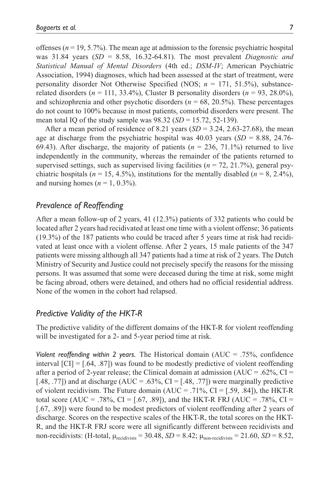offenses ( $n = 19, 5.7\%$ ). The mean age at admission to the forensic psychiatric hospital was 31.84 years (*SD* = 8.58, 16.32-64.81). The most prevalent *Diagnostic and Statistical Manual of Mental Disorders* (4th ed.; *DSM-IV*; American Psychiatric Association, 1994) diagnoses, which had been assessed at the start of treatment, were personality disorder Not Otherwise Specified (NOS; *n* = 171, 51.5%), substancerelated disorders ( $n = 111, 33.4\%$ ), Cluster B personality disorders ( $n = 93, 28.0\%$ ), and schizophrenia and other psychotic disorders ( $n = 68, 20.5\%$ ). These percentages do not count to 100% because in most patients, comorbid disorders were present. The mean total IQ of the study sample was  $98.32$  (*SD* = 15.72, 52-139).

After a mean period of residence of 8.21 years  $(SD = 3.24, 2.63-27.68)$ , the mean age at discharge from the psychiatric hospital was 40.03 years (*SD* = 8.88, 24.76- 69.43). After discharge, the majority of patients  $(n = 236, 71.1\%)$  returned to live independently in the community, whereas the remainder of the patients returned to supervised settings, such as supervised living facilities ( $n = 72$ , 21.7%), general psychiatric hospitals ( $n = 15, 4.5\%$ ), institutions for the mentally disabled ( $n = 8, 2.4\%$ ), and nursing homes  $(n = 1, 0.3\%)$ .

# *Prevalence of Reoffending*

After a mean follow-up of 2 years, 41 (12.3%) patients of 332 patients who could be located after 2 years had recidivated at least one time with a violent offense; 36 patients (19.3%) of the 187 patients who could be traced after 5 years time at risk had recidivated at least once with a violent offense. After 2 years, 15 male patients of the 347 patients were missing although all 347 patients had a time at risk of 2 years. The Dutch Ministry of Security and Justice could not precisely specify the reasons for the missing persons. It was assumed that some were deceased during the time at risk, some might be facing abroad, others were detained, and others had no official residential address. None of the women in the cohort had relapsed.

#### *Predictive Validity of the HKT-R*

The predictive validity of the different domains of the HKT-R for violent reoffending will be investigated for a 2- and 5-year period time at risk.

*Violent reoffending within 2 years.* The Historical domain (AUC = .75%, confidence interval  $\text{[CI]} = [.64, .87]$  was found to be modestly predictive of violent reoffending after a period of 2-year release; the Clinical domain at admission ( $AUC = .62\%$ ,  $CI =$ [.48, .77]) and at discharge (AUC = .63%, CI =  $[.48, .77]$ ) were marginally predictive of violent recidivism. The Future domain  $(AUC = .71\%, CI = [.59, .84])$ , the HKT-R total score (AUC = .78%, CI = [.67, .89]), and the HKT-R FRJ (AUC = .78%, CI = [.67, .89]) were found to be modest predictors of violent reoffending after 2 years of discharge. Scores on the respective scales of the HKT-R, the total scores on the HKT-R, and the HKT-R FRJ score were all significantly different between recidivists and non-recidivists: (H-total,  $\mu_{\text{recidivists}} = 30.48$ , *SD* = 8.42;  $\mu_{\text{non-recidivists}} = 21.60$ , *SD* = 8.52,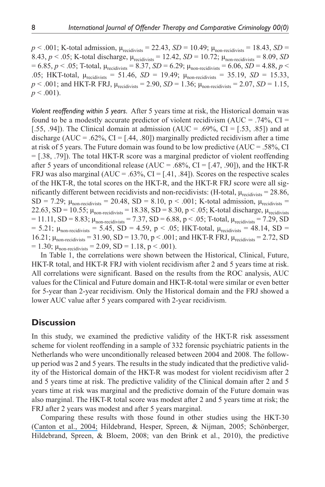$p < .001$ ; K-total admission,  $\mu_{\text{recidivists}} = 22.43$ ,  $SD = 10.49$ ;  $\mu_{\text{non-recidivists}} = 18.43$ ,  $SD =$ 8.43,  $p < .05$ ; K-total discharge,  $\mu_{\text{recidivists}} = 12.42$ ,  $SD = 10.72$ ;  $\mu_{\text{non-recidivists}} = 8.09$ , *SD*  $= 6.85, p < .05$ ; T-total,  $\mu_{\text{recidivists}} = 8.37, SD = 6.29$ ;  $\mu_{\text{non-recidivists}} = 6.06, SD = 4.88, p < .05$ .05; HKT-total,  $\mu_{\text{recidivists}} = 51.46$ ,  $SD = 19.49$ ;  $\mu_{\text{non-recidivists}} = 35.19$ ,  $SD = 15.33$ ,  $p < .001$ ; and HKT-R FRJ,  $\mu_{\text{recidivists}} = 2.90$ ,  $SD = 1.36$ ;  $\mu_{\text{non-recidivists}} = 2.07$ ,  $SD = 1.15$ ,  $p < .001$ ).

*Violent reoffending within 5 years.* After 5 years time at risk, the Historical domain was found to be a modestly accurate predictor of violent recidivism (AUC = .74%, CI = [.55, .94]). The Clinical domain at admission  $(AUC = .69\%, CI = [0.53, .85])$  and at discharge (AUC = .62%, CI = [.44, .80]) marginally predicted recidivism after a time at risk of 5 years. The Future domain was found to be low predictive  $(AUC = .58\%, CI)$ = [.38, .79]). The total HKT-R score was a marginal predictor of violent reoffending after 5 years of unconditional release (AUC = .68%, CI =  $[.47, .90]$ ), and the HKT-R FRJ was also marginal ( $AUC = .63\%$ ,  $CI = [.41, .84]$ ). Scores on the respective scales of the HKT-R, the total scores on the HKT-R, and the HKT-R FRJ score were all significantly different between recidivists and non-recidivists: (H-total,  $\mu_{\text{recidivists}} = 28.86$ , SD = 7.29;  $\mu_{\text{non-recidivists}}$  = 20.48, SD = 8.10, p < .001; K-total admission,  $\mu_{\text{recidivists}}$  = 22.63, SD = 10.55;  $\mu_{\text{non-recidivists}}$  = 18.38, SD = 8.30, p < .05; K-total discharge,  $\mu_{\text{recidivists}}$  $= 11.11, SD = 8.83; \mu_{non-recidivists} = 7.37, SD = 6.88, p < .05; T-total, \mu_{recidivists} = 7.29, SD$  $= 5.21$ ;  $\mu_{\text{non-recidivists}} = 5.45$ , SD = 4.59, p < .05; HKT-total,  $\mu_{\text{recidivists}} = 48.14$ , SD = 16.21;  $\mu_{\text{non-recidivists}} = 31.90, SD = 13.70, p < .001$ ; and HKT-R FRJ,  $\mu_{\text{recidivists}} = 2.72, SD$  $= 1.30$ ;  $\mu_{\text{non-recidivists}} = 2.09$ , SD  $= 1.18$ , p  $< .001$ ).

In Table 1, the correlations were shown between the Historical, Clinical, Future, HKT-R total, and HKT-R FRJ with violent recidivism after 2 and 5 years time at risk. All correlations were significant. Based on the results from the ROC analysis, AUC values for the Clinical and Future domain and HKT-R-total were similar or even better for 5-year than 2-year recidivism. Only the Historical domain and the FRJ showed a lower AUC value after 5 years compared with 2-year recidivism.

### **Discussion**

In this study, we examined the predictive validity of the HKT-R risk assessment scheme for violent reoffending in a sample of 332 forensic psychiatric patients in the Netherlands who were unconditionally released between 2004 and 2008. The followup period was 2 and 5 years. The results in the study indicated that the predictive validity of the Historical domain of the HKT-R was modest for violent recidivism after 2 and 5 years time at risk. The predictive validity of the Clinical domain after 2 and 5 years time at risk was marginal and the predictive domain of the Future domain was also marginal. The HKT-R total score was modest after 2 and 5 years time at risk; the FRJ after 2 years was modest and after 5 years marginal.

Comparing these results with those found in other studies using the HKT-30 (Canton et [al., 2004;](https://www.researchgate.net/publication/241850896_De_voorspellende_waarde_van_risicotaxatie_bij_de_rapportage_pro_Justitia_Onderzoek_naar_de_HTK-30_en_de_klinische_inschatting?el=1_x_8&enrichId=rgreq-016969f6c4cc16cee1385d367f13c2f5-XXX&enrichSource=Y292ZXJQYWdlOzMxNzQ5MjAzNTtBUzo1MTA2MzIwOTQxMTM3OTJAMTQ5ODc1NTU4NjE4OQ==) Hildebrand, Hesper, Spreen, & Nijman, 2005; Schönberger, Hildebrand, Spreen, & Bloem, 2008; van den Brink et al., 2010), the predictive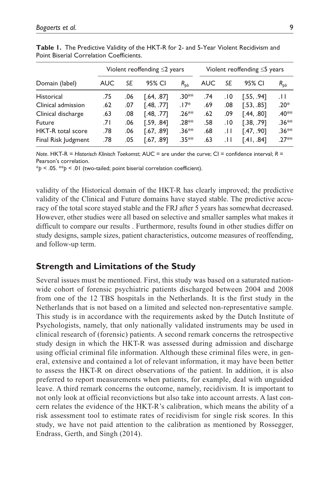|                     | Violent reoffending $\leq$ 2 years |     |            |          | Violent reoffending $\leq$ 5 years |       |            |                  |
|---------------------|------------------------------------|-----|------------|----------|------------------------------------|-------|------------|------------------|
| Domain (label)      | <b>AUC</b>                         | SE  | 95% CI     | $R_{bb}$ | AUC                                | SE    | 95% CI     | $R_{pb}$         |
| Historical          | .75                                | .06 | [.64, .87] | $.30**$  | .74                                | .10   | [.55, .94] | .H               |
| Clinical admission  | .62                                | .07 | [.48, .77] | $.17*$   | .69                                | .08   | [.53, .85] | $.20*$           |
| Clinical discharge  | .63                                | .08 | [.48, .77] | $.26**$  | .62                                | .09   | [.44, .80] | .40 <sup>*</sup> |
| Future              | 7١.                                | .06 | [.59, .84] | $.28**$  | .58                                | ١٥.   | [.38, .79] | $.36**$          |
| HKT-R total score   | .78                                | .06 | [.67, .89] | $.36**$  | .68                                | . H   | [.47, .90] | $.36***$         |
| Final Risk Judgment | .78                                | .05 | [.67, .89] | $.35**$  | .63                                | . I I | [.41, .84] | $27**$           |

**Table 1.** The Predictive Validity of the HKT-R for 2- and 5-Year Violent Recidivism and Point Biserial Correlation Coefficients.

*Note*. HKT-R = *Historisch Klinisch Toekomst*; AUC = are under the curve; CI = confidence interval; R = Pearson's correlation.

\**p* < .05. \*\**p* < .01 (two-tailed; point biserial correlation coefficient).

validity of the Historical domain of the HKT-R has clearly improved; the predictive validity of the Clinical and Future domains have stayed stable. The predictive accuracy of the total score stayed stable and the FRJ after 5 years has somewhat decreased. However, other studies were all based on selective and smaller samples what makes it difficult to compare our results . Furthermore, results found in other studies differ on study designs, sample sizes, patient characteristics, outcome measures of reoffending, and follow-up term.

### **Strength and Limitations of the Study**

Several issues must be mentioned. First, this study was based on a saturated nationwide cohort of forensic psychiatric patients discharged between 2004 and 2008 from one of the 12 TBS hospitals in the Netherlands. It is the first study in the Netherlands that is not based on a limited and selected non-representative sample. This study is in accordance with the requirements asked by the Dutch Institute of Psychologists, namely, that only nationally validated instruments may be used in clinical research of (forensic) patients. A second remark concerns the retrospective study design in which the HKT-R was assessed during admission and discharge using official criminal file information. Although these criminal files were, in general, extensive and contained a lot of relevant information, it may have been better to assess the HKT-R on direct observations of the patient. In addition, it is also preferred to report measurements when patients, for example, deal with unguided leave. A third remark concerns the outcome, namely, recidivism. It is important to not only look at official reconvictions but also take into account arrests. A last concern relates the evidence of the HKT-R's calibration, which means the ability of a risk assessment tool to estimate rates of recidivism for single risk scores. In this study, we have not paid attention to the calibration as mentioned by Rossegger, Endrass, Gerth, and Singh (2014).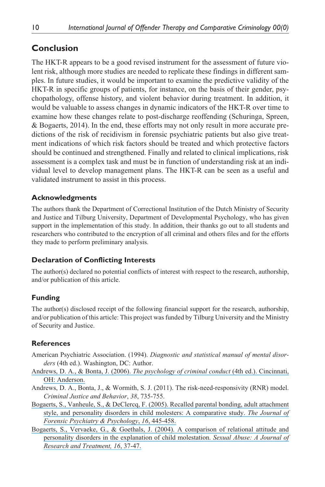# **Conclusion**

The HKT-R appears to be a good revised instrument for the assessment of future violent risk, although more studies are needed to replicate these findings in different samples. In future studies, it would be important to examine the predictive validity of the HKT-R in specific groups of patients, for instance, on the basis of their gender, psychopathology, offense history, and violent behavior during treatment. In addition, it would be valuable to assess changes in dynamic indicators of the HKT-R over time to examine how these changes relate to post-discharge reoffending (Schuringa, Spreen, & Bogaerts, 2014). In the end, these efforts may not only result in more accurate predictions of the risk of recidivism in forensic psychiatric patients but also give treatment indications of which risk factors should be treated and which protective factors should be continued and strengthened. Finally and related to clinical implications, risk assessment is a complex task and must be in function of understanding risk at an individual level to develop management plans. The HKT-R can be seen as a useful and validated instrument to assist in this process.

### **Acknowledgments**

The authors thank the Department of Correctional Institution of the Dutch Ministry of Security and Justice and Tilburg University, Department of Developmental Psychology, who has given support in the implementation of this study. In addition, their thanks go out to all students and researchers who contributed to the encryption of all criminal and others files and for the efforts they made to perform preliminary analysis.

### **Declaration of Conflicting Interests**

The author(s) declared no potential conflicts of interest with respect to the research, authorship, and/or publication of this article.

### **Funding**

The author(s) disclosed receipt of the following financial support for the research, authorship, and/or publication of this article: This project was funded by Tilburg University and the Ministry of Security and Justice.

### **References**

- American Psychiatric Association. (1994). *Diagnostic and statistical manual of mental disorders* (4th ed.). Washington, DC: Author.
- [Andrews, D. A., & Bonta, J. \(2006\).](https://www.researchgate.net/publication/232558018_The_Psychology_Of_Criminal_Conduct?el=1_x_8&enrichId=rgreq-016969f6c4cc16cee1385d367f13c2f5-XXX&enrichSource=Y292ZXJQYWdlOzMxNzQ5MjAzNTtBUzo1MTA2MzIwOTQxMTM3OTJAMTQ5ODc1NTU4NjE4OQ==) *The psychology of criminal conduct* (4th ed.). Cincinnati, [OH: Anderson.](https://www.researchgate.net/publication/232558018_The_Psychology_Of_Criminal_Conduct?el=1_x_8&enrichId=rgreq-016969f6c4cc16cee1385d367f13c2f5-XXX&enrichSource=Y292ZXJQYWdlOzMxNzQ5MjAzNTtBUzo1MTA2MzIwOTQxMTM3OTJAMTQ5ODc1NTU4NjE4OQ==)
- Andrews, D. A., Bonta, J., & Wormith, S. J. (2011). The risk-need-responsivity (RNR) model. *Criminal Justice and Behavior*, *38*, 735-755.
- [Bogaerts, S., Vanheule, S., & DeClercq, F. \(2005\). Recalled parental bonding, adult attachment](https://www.researchgate.net/publication/228353142_Recalled_parental_bonding_adult_attachment_style_and_personality_disorders_in_child_molesters_A_comparative_study?el=1_x_8&enrichId=rgreq-016969f6c4cc16cee1385d367f13c2f5-XXX&enrichSource=Y292ZXJQYWdlOzMxNzQ5MjAzNTtBUzo1MTA2MzIwOTQxMTM3OTJAMTQ5ODc1NTU4NjE4OQ==) [style, and personality disorders in child molesters: A comparative study.](https://www.researchgate.net/publication/228353142_Recalled_parental_bonding_adult_attachment_style_and_personality_disorders_in_child_molesters_A_comparative_study?el=1_x_8&enrichId=rgreq-016969f6c4cc16cee1385d367f13c2f5-XXX&enrichSource=Y292ZXJQYWdlOzMxNzQ5MjAzNTtBUzo1MTA2MzIwOTQxMTM3OTJAMTQ5ODc1NTU4NjE4OQ==) *The Journal of [Forensic Psychiatry & Psychology](https://www.researchgate.net/publication/228353142_Recalled_parental_bonding_adult_attachment_style_and_personality_disorders_in_child_molesters_A_comparative_study?el=1_x_8&enrichId=rgreq-016969f6c4cc16cee1385d367f13c2f5-XXX&enrichSource=Y292ZXJQYWdlOzMxNzQ5MjAzNTtBUzo1MTA2MzIwOTQxMTM3OTJAMTQ5ODc1NTU4NjE4OQ==)*, *16*, 445-458.
- [Bogaerts, S., Vervaeke, G., & Goethals, J. \(2004\). A comparison of relational attitude and](https://www.researchgate.net/publication/5333093_A_Comparison_of_Relational_Attitude_and_Personality_Disorders_in_the_Explanation_of_Child_Molestation?el=1_x_8&enrichId=rgreq-016969f6c4cc16cee1385d367f13c2f5-XXX&enrichSource=Y292ZXJQYWdlOzMxNzQ5MjAzNTtBUzo1MTA2MzIwOTQxMTM3OTJAMTQ5ODc1NTU4NjE4OQ==)  [personality disorders in the explanation of child molestation.](https://www.researchgate.net/publication/5333093_A_Comparison_of_Relational_Attitude_and_Personality_Disorders_in_the_Explanation_of_Child_Molestation?el=1_x_8&enrichId=rgreq-016969f6c4cc16cee1385d367f13c2f5-XXX&enrichSource=Y292ZXJQYWdlOzMxNzQ5MjAzNTtBUzo1MTA2MzIwOTQxMTM3OTJAMTQ5ODc1NTU4NjE4OQ==) *Sexual Abuse: A Journal of [Research and Treatment, 16](https://www.researchgate.net/publication/5333093_A_Comparison_of_Relational_Attitude_and_Personality_Disorders_in_the_Explanation_of_Child_Molestation?el=1_x_8&enrichId=rgreq-016969f6c4cc16cee1385d367f13c2f5-XXX&enrichSource=Y292ZXJQYWdlOzMxNzQ5MjAzNTtBUzo1MTA2MzIwOTQxMTM3OTJAMTQ5ODc1NTU4NjE4OQ==)*, 37-47.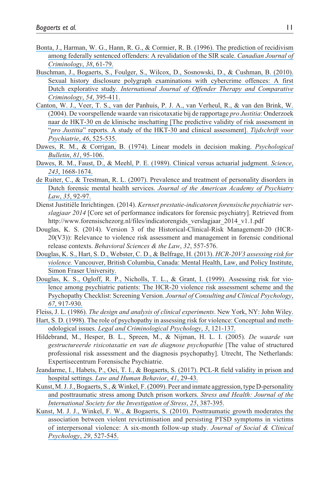- [Bonta, J., Harman, W. G., Hann, R. G., & Cormier, R. B. \(1996\). The prediction of recidivism](https://www.researchgate.net/publication/286016966_The_prediction_of_recidivism_among_federally_sentenced_offenders_A_re-validation_of_the_SIR_scale?el=1_x_8&enrichId=rgreq-016969f6c4cc16cee1385d367f13c2f5-XXX&enrichSource=Y292ZXJQYWdlOzMxNzQ5MjAzNTtBUzo1MTA2MzIwOTQxMTM3OTJAMTQ5ODc1NTU4NjE4OQ==) [among federally sentenced offenders: A revalidation of the SIR scale.](https://www.researchgate.net/publication/286016966_The_prediction_of_recidivism_among_federally_sentenced_offenders_A_re-validation_of_the_SIR_scale?el=1_x_8&enrichId=rgreq-016969f6c4cc16cee1385d367f13c2f5-XXX&enrichSource=Y292ZXJQYWdlOzMxNzQ5MjAzNTtBUzo1MTA2MzIwOTQxMTM3OTJAMTQ5ODc1NTU4NjE4OQ==) *Canadian Journal of [Criminology](https://www.researchgate.net/publication/286016966_The_prediction_of_recidivism_among_federally_sentenced_offenders_A_re-validation_of_the_SIR_scale?el=1_x_8&enrichId=rgreq-016969f6c4cc16cee1385d367f13c2f5-XXX&enrichSource=Y292ZXJQYWdlOzMxNzQ5MjAzNTtBUzo1MTA2MzIwOTQxMTM3OTJAMTQ5ODc1NTU4NjE4OQ==)*, *38*, 61-79.
- [Buschman, J., Bogaerts, S., Foulger, S., Wilcox, D., Sosnowski, D., & Cushman, B. \(2010\).](https://www.researchgate.net/publication/24355320_Sexual_History_Disclosure_Polygraph_Examinations_With_Cybercrime_Offences_A_First_Dutch_Explorative_Study?el=1_x_8&enrichId=rgreq-016969f6c4cc16cee1385d367f13c2f5-XXX&enrichSource=Y292ZXJQYWdlOzMxNzQ5MjAzNTtBUzo1MTA2MzIwOTQxMTM3OTJAMTQ5ODc1NTU4NjE4OQ==)  [Sexual history disclosure polygraph examinations with cybercrime offences: A first](https://www.researchgate.net/publication/24355320_Sexual_History_Disclosure_Polygraph_Examinations_With_Cybercrime_Offences_A_First_Dutch_Explorative_Study?el=1_x_8&enrichId=rgreq-016969f6c4cc16cee1385d367f13c2f5-XXX&enrichSource=Y292ZXJQYWdlOzMxNzQ5MjAzNTtBUzo1MTA2MzIwOTQxMTM3OTJAMTQ5ODc1NTU4NjE4OQ==)  Dutch explorative study. *[International Journal of Offender Therapy and Comparative](https://www.researchgate.net/publication/24355320_Sexual_History_Disclosure_Polygraph_Examinations_With_Cybercrime_Offences_A_First_Dutch_Explorative_Study?el=1_x_8&enrichId=rgreq-016969f6c4cc16cee1385d367f13c2f5-XXX&enrichSource=Y292ZXJQYWdlOzMxNzQ5MjAzNTtBUzo1MTA2MzIwOTQxMTM3OTJAMTQ5ODc1NTU4NjE4OQ==) [Criminology](https://www.researchgate.net/publication/24355320_Sexual_History_Disclosure_Polygraph_Examinations_With_Cybercrime_Offences_A_First_Dutch_Explorative_Study?el=1_x_8&enrichId=rgreq-016969f6c4cc16cee1385d367f13c2f5-XXX&enrichSource=Y292ZXJQYWdlOzMxNzQ5MjAzNTtBUzo1MTA2MzIwOTQxMTM3OTJAMTQ5ODc1NTU4NjE4OQ==)*, *54*, 395-411.
- [Canton, W. J., Veer, T. S., van der Panhuis, P. J. A., van Verheul, R., & van den Brink, W.](https://www.researchgate.net/publication/241850896_De_voorspellende_waarde_van_risicotaxatie_bij_de_rapportage_pro_Justitia_Onderzoek_naar_de_HTK-30_en_de_klinische_inschatting?el=1_x_8&enrichId=rgreq-016969f6c4cc16cee1385d367f13c2f5-XXX&enrichSource=Y292ZXJQYWdlOzMxNzQ5MjAzNTtBUzo1MTA2MzIwOTQxMTM3OTJAMTQ5ODc1NTU4NjE4OQ==)  [\(2004\). De voorspellende waarde van risicotaxatie bij de rapportage](https://www.researchgate.net/publication/241850896_De_voorspellende_waarde_van_risicotaxatie_bij_de_rapportage_pro_Justitia_Onderzoek_naar_de_HTK-30_en_de_klinische_inschatting?el=1_x_8&enrichId=rgreq-016969f6c4cc16cee1385d367f13c2f5-XXX&enrichSource=Y292ZXJQYWdlOzMxNzQ5MjAzNTtBUzo1MTA2MzIwOTQxMTM3OTJAMTQ5ODc1NTU4NjE4OQ==) *pro Justitia*: Onderzoek [naar de HKT-30 en de klinische inschatting \[The predictive validity of risk assessment in](https://www.researchgate.net/publication/241850896_De_voorspellende_waarde_van_risicotaxatie_bij_de_rapportage_pro_Justitia_Onderzoek_naar_de_HTK-30_en_de_klinische_inschatting?el=1_x_8&enrichId=rgreq-016969f6c4cc16cee1385d367f13c2f5-XXX&enrichSource=Y292ZXJQYWdlOzMxNzQ5MjAzNTtBUzo1MTA2MzIwOTQxMTM3OTJAMTQ5ODc1NTU4NjE4OQ==) "*pro Justitia*[" reports. A study of the HKT-30 and clinical assessment\].](https://www.researchgate.net/publication/241850896_De_voorspellende_waarde_van_risicotaxatie_bij_de_rapportage_pro_Justitia_Onderzoek_naar_de_HTK-30_en_de_klinische_inschatting?el=1_x_8&enrichId=rgreq-016969f6c4cc16cee1385d367f13c2f5-XXX&enrichSource=Y292ZXJQYWdlOzMxNzQ5MjAzNTtBUzo1MTA2MzIwOTQxMTM3OTJAMTQ5ODc1NTU4NjE4OQ==) *Tijdschrift voor [Psychiatrie](https://www.researchgate.net/publication/241850896_De_voorspellende_waarde_van_risicotaxatie_bij_de_rapportage_pro_Justitia_Onderzoek_naar_de_HTK-30_en_de_klinische_inschatting?el=1_x_8&enrichId=rgreq-016969f6c4cc16cee1385d367f13c2f5-XXX&enrichSource=Y292ZXJQYWdlOzMxNzQ5MjAzNTtBUzo1MTA2MzIwOTQxMTM3OTJAMTQ5ODc1NTU4NjE4OQ==)*, *46*, 525-535.
- [Dawes, R. M., & Corrigan, B. \(1974\). Linear models in decision making.](https://www.researchgate.net/publication/232556903_Linear_Models_in_Decision_Making?el=1_x_8&enrichId=rgreq-016969f6c4cc16cee1385d367f13c2f5-XXX&enrichSource=Y292ZXJQYWdlOzMxNzQ5MjAzNTtBUzo1MTA2MzIwOTQxMTM3OTJAMTQ5ODc1NTU4NjE4OQ==) *Psychological Bulletin*, *81*[, 95-106.](https://www.researchgate.net/publication/232556903_Linear_Models_in_Decision_Making?el=1_x_8&enrichId=rgreq-016969f6c4cc16cee1385d367f13c2f5-XXX&enrichSource=Y292ZXJQYWdlOzMxNzQ5MjAzNTtBUzo1MTA2MzIwOTQxMTM3OTJAMTQ5ODc1NTU4NjE4OQ==)
- [Dawes, R. M., Faust, D., & Meehl, P. E. \(1989\). Clinical versus actuarial judgment.](https://www.researchgate.net/publication/20506794_Clinical_Versus_Actuarial_Judgment?el=1_x_8&enrichId=rgreq-016969f6c4cc16cee1385d367f13c2f5-XXX&enrichSource=Y292ZXJQYWdlOzMxNzQ5MjAzNTtBUzo1MTA2MzIwOTQxMTM3OTJAMTQ5ODc1NTU4NjE4OQ==) *Science*, *243*[, 1668-1674.](https://www.researchgate.net/publication/20506794_Clinical_Versus_Actuarial_Judgment?el=1_x_8&enrichId=rgreq-016969f6c4cc16cee1385d367f13c2f5-XXX&enrichSource=Y292ZXJQYWdlOzMxNzQ5MjAzNTtBUzo1MTA2MzIwOTQxMTM3OTJAMTQ5ODc1NTU4NjE4OQ==)
- [de Ruiter, C., & Trestman, R. L. \(2007\). Prevalence and treatment of personality disorders in](https://www.researchgate.net/publication/6418855_Prevalence_and_treatment_of_personality_disorders_in_Dutch_forensic_mental_health_services?el=1_x_8&enrichId=rgreq-016969f6c4cc16cee1385d367f13c2f5-XXX&enrichSource=Y292ZXJQYWdlOzMxNzQ5MjAzNTtBUzo1MTA2MzIwOTQxMTM3OTJAMTQ5ODc1NTU4NjE4OQ==) Dutch forensic mental health services. *[Journal of the American Academy of Psychiatry](https://www.researchgate.net/publication/6418855_Prevalence_and_treatment_of_personality_disorders_in_Dutch_forensic_mental_health_services?el=1_x_8&enrichId=rgreq-016969f6c4cc16cee1385d367f13c2f5-XXX&enrichSource=Y292ZXJQYWdlOzMxNzQ5MjAzNTtBUzo1MTA2MzIwOTQxMTM3OTJAMTQ5ODc1NTU4NjE4OQ==) Law*, *35*[, 92-97.](https://www.researchgate.net/publication/6418855_Prevalence_and_treatment_of_personality_disorders_in_Dutch_forensic_mental_health_services?el=1_x_8&enrichId=rgreq-016969f6c4cc16cee1385d367f13c2f5-XXX&enrichSource=Y292ZXJQYWdlOzMxNzQ5MjAzNTtBUzo1MTA2MzIwOTQxMTM3OTJAMTQ5ODc1NTU4NjE4OQ==)
- Dienst Justitiële Inrichtingen. (2014). *Kernset prestatie-indicatoren forensische psychiatrie verslagjaar 2014* [Core set of performance indicators for forensic psychiatry]. Retrieved from [http://www.forensischezorg.nl/files/indicatorengids\\_verslagjaar\\_2014\\_v1.1.pdf](http://www.forensischezorg.nl/files/indicatorengids_verslagjaar_2014_v1.1.pdf)
- Douglas, K. S. (2014). Version 3 of the Historical-Clinical-Risk Management-20 (HCR-20(V3)): Relevance to violence risk assessment and management in forensic conditional release contexts. *Behavioral Sciences & the Law*, *32*, 557-576.
- [Douglas, K. S., Hart, S. D., Webster, C. D., & Belfrage, H. \(2013\).](https://www.researchgate.net/publication/316998939_HCR-20V3_Assessing_risk_for_violence?el=1_x_8&enrichId=rgreq-016969f6c4cc16cee1385d367f13c2f5-XXX&enrichSource=Y292ZXJQYWdlOzMxNzQ5MjAzNTtBUzo1MTA2MzIwOTQxMTM3OTJAMTQ5ODc1NTU4NjE4OQ==) *HCR-20V3 assessing risk for violence.* [Vancouver, British Columbia, Canada: Mental Health, Law, and Policy Institute,](https://www.researchgate.net/publication/316998939_HCR-20V3_Assessing_risk_for_violence?el=1_x_8&enrichId=rgreq-016969f6c4cc16cee1385d367f13c2f5-XXX&enrichSource=Y292ZXJQYWdlOzMxNzQ5MjAzNTtBUzo1MTA2MzIwOTQxMTM3OTJAMTQ5ODc1NTU4NjE4OQ==)  [Simon Fraser University.](https://www.researchgate.net/publication/316998939_HCR-20V3_Assessing_risk_for_violence?el=1_x_8&enrichId=rgreq-016969f6c4cc16cee1385d367f13c2f5-XXX&enrichSource=Y292ZXJQYWdlOzMxNzQ5MjAzNTtBUzo1MTA2MzIwOTQxMTM3OTJAMTQ5ODc1NTU4NjE4OQ==)
- [Douglas, K. S., Ogloff, R. P., Nicholls, T. L., & Grant, I. \(1999\). Assessing risk for vio](https://www.researchgate.net/publication/12703929_Assessing_risk_for_violence_among_psychiatric_patients_The_HCR-20_Violence_Risk_Assessment_Scheme_and_the_Psychopathy_Checklist_Screening_Version?el=1_x_8&enrichId=rgreq-016969f6c4cc16cee1385d367f13c2f5-XXX&enrichSource=Y292ZXJQYWdlOzMxNzQ5MjAzNTtBUzo1MTA2MzIwOTQxMTM3OTJAMTQ5ODc1NTU4NjE4OQ==)[lence among psychiatric patients: The HCR-20 violence risk assessment scheme and the](https://www.researchgate.net/publication/12703929_Assessing_risk_for_violence_among_psychiatric_patients_The_HCR-20_Violence_Risk_Assessment_Scheme_and_the_Psychopathy_Checklist_Screening_Version?el=1_x_8&enrichId=rgreq-016969f6c4cc16cee1385d367f13c2f5-XXX&enrichSource=Y292ZXJQYWdlOzMxNzQ5MjAzNTtBUzo1MTA2MzIwOTQxMTM3OTJAMTQ5ODc1NTU4NjE4OQ==) Psychopathy Checklist: Screening Version. *[Journal of Consulting and Clinical Psychology](https://www.researchgate.net/publication/12703929_Assessing_risk_for_violence_among_psychiatric_patients_The_HCR-20_Violence_Risk_Assessment_Scheme_and_the_Psychopathy_Checklist_Screening_Version?el=1_x_8&enrichId=rgreq-016969f6c4cc16cee1385d367f13c2f5-XXX&enrichSource=Y292ZXJQYWdlOzMxNzQ5MjAzNTtBUzo1MTA2MzIwOTQxMTM3OTJAMTQ5ODc1NTU4NjE4OQ==)*, *67*[, 917-930.](https://www.researchgate.net/publication/12703929_Assessing_risk_for_violence_among_psychiatric_patients_The_HCR-20_Violence_Risk_Assessment_Scheme_and_the_Psychopathy_Checklist_Screening_Version?el=1_x_8&enrichId=rgreq-016969f6c4cc16cee1385d367f13c2f5-XXX&enrichSource=Y292ZXJQYWdlOzMxNzQ5MjAzNTtBUzo1MTA2MzIwOTQxMTM3OTJAMTQ5ODc1NTU4NjE4OQ==)
- Fleiss, J. L. (1986). *[The design and analysis of clinical experiments](https://www.researchgate.net/publication/274908479_The_Design_and_Analysis_of_Clinical_Experiments?el=1_x_8&enrichId=rgreq-016969f6c4cc16cee1385d367f13c2f5-XXX&enrichSource=Y292ZXJQYWdlOzMxNzQ5MjAzNTtBUzo1MTA2MzIwOTQxMTM3OTJAMTQ5ODc1NTU4NjE4OQ==)*. New York, NY: John Wiley.
- [Hart, S. D. \(1998\). The role of psychopathy in assessing risk for violence: Conceptual and meth](https://www.researchgate.net/publication/227763359_The_role_of_psychopathy_in_assessing_risk_for_violence_Conceptual_and_methodological_issues?el=1_x_8&enrichId=rgreq-016969f6c4cc16cee1385d367f13c2f5-XXX&enrichSource=Y292ZXJQYWdlOzMxNzQ5MjAzNTtBUzo1MTA2MzIwOTQxMTM3OTJAMTQ5ODc1NTU4NjE4OQ==)odological issues. *[Legal and Criminological Psychology](https://www.researchgate.net/publication/227763359_The_role_of_psychopathy_in_assessing_risk_for_violence_Conceptual_and_methodological_issues?el=1_x_8&enrichId=rgreq-016969f6c4cc16cee1385d367f13c2f5-XXX&enrichSource=Y292ZXJQYWdlOzMxNzQ5MjAzNTtBUzo1MTA2MzIwOTQxMTM3OTJAMTQ5ODc1NTU4NjE4OQ==)*, *3*, 121-137.
- Hildebrand, M., Hesper, B. L., Spreen, M., & Nijman, H. L. I. (2005). *De waarde van gestructureerde risicotaxatie en van de diagnose psychopathie* [The value of structured professional risk assessment and the diagnosis psychopathy]. Utrecht, The Netherlands: Expertisecentrum Forensische Psychiatrie.
- [Jeandarme, I., Habets, P., Oei, T. I., & Bogaerts, S. \(2017\). PCL-R field validity in prison and](https://www.researchgate.net/publication/311587453_PCL-R_field_validity_in_prison_and_hospital_settings?el=1_x_8&enrichId=rgreq-016969f6c4cc16cee1385d367f13c2f5-XXX&enrichSource=Y292ZXJQYWdlOzMxNzQ5MjAzNTtBUzo1MTA2MzIwOTQxMTM3OTJAMTQ5ODc1NTU4NjE4OQ==)  hospital settings. *[Law and Human Behavior](https://www.researchgate.net/publication/311587453_PCL-R_field_validity_in_prison_and_hospital_settings?el=1_x_8&enrichId=rgreq-016969f6c4cc16cee1385d367f13c2f5-XXX&enrichSource=Y292ZXJQYWdlOzMxNzQ5MjAzNTtBUzo1MTA2MzIwOTQxMTM3OTJAMTQ5ODc1NTU4NjE4OQ==)*, *41*, 29-43.
- [Kunst, M. J. J., Bogaerts, S., & Winkel, F. \(2009\). Peer and inmate aggression, type D-personality](https://www.researchgate.net/publication/227907135_Peer_and_inmate_aggression_type_D-personality_and_post-traumatic_stress_among_Dutch_prison_workers?el=1_x_8&enrichId=rgreq-016969f6c4cc16cee1385d367f13c2f5-XXX&enrichSource=Y292ZXJQYWdlOzMxNzQ5MjAzNTtBUzo1MTA2MzIwOTQxMTM3OTJAMTQ5ODc1NTU4NjE4OQ==)  [and posttraumatic stress among Dutch prison workers.](https://www.researchgate.net/publication/227907135_Peer_and_inmate_aggression_type_D-personality_and_post-traumatic_stress_among_Dutch_prison_workers?el=1_x_8&enrichId=rgreq-016969f6c4cc16cee1385d367f13c2f5-XXX&enrichSource=Y292ZXJQYWdlOzMxNzQ5MjAzNTtBUzo1MTA2MzIwOTQxMTM3OTJAMTQ5ODc1NTU4NjE4OQ==) *Stress and Health: Journal of the [International Society for the Investigation of Stress](https://www.researchgate.net/publication/227907135_Peer_and_inmate_aggression_type_D-personality_and_post-traumatic_stress_among_Dutch_prison_workers?el=1_x_8&enrichId=rgreq-016969f6c4cc16cee1385d367f13c2f5-XXX&enrichSource=Y292ZXJQYWdlOzMxNzQ5MjAzNTtBUzo1MTA2MzIwOTQxMTM3OTJAMTQ5ODc1NTU4NjE4OQ==)*, *25*, 387-395.
- [Kunst, M. J. J., Winkel, F. W., & Bogaerts, S. \(2010\). Posttraumatic growth moderates the](https://www.researchgate.net/publication/247839502_Posttraumatic_Growth_Moderates_the_Association_Between_Violent_Revictimization_and_Persisting_PTSD_Symptoms_in_Victims_of_Interpersonal_Violence_A_Six-Month_Follow-Up_Study?el=1_x_8&enrichId=rgreq-016969f6c4cc16cee1385d367f13c2f5-XXX&enrichSource=Y292ZXJQYWdlOzMxNzQ5MjAzNTtBUzo1MTA2MzIwOTQxMTM3OTJAMTQ5ODc1NTU4NjE4OQ==)  [association between violent revictimisation and persisting PTSD symptoms in victims](https://www.researchgate.net/publication/247839502_Posttraumatic_Growth_Moderates_the_Association_Between_Violent_Revictimization_and_Persisting_PTSD_Symptoms_in_Victims_of_Interpersonal_Violence_A_Six-Month_Follow-Up_Study?el=1_x_8&enrichId=rgreq-016969f6c4cc16cee1385d367f13c2f5-XXX&enrichSource=Y292ZXJQYWdlOzMxNzQ5MjAzNTtBUzo1MTA2MzIwOTQxMTM3OTJAMTQ5ODc1NTU4NjE4OQ==)  [of interpersonal violence: A six-month follow-up study.](https://www.researchgate.net/publication/247839502_Posttraumatic_Growth_Moderates_the_Association_Between_Violent_Revictimization_and_Persisting_PTSD_Symptoms_in_Victims_of_Interpersonal_Violence_A_Six-Month_Follow-Up_Study?el=1_x_8&enrichId=rgreq-016969f6c4cc16cee1385d367f13c2f5-XXX&enrichSource=Y292ZXJQYWdlOzMxNzQ5MjAzNTtBUzo1MTA2MzIwOTQxMTM3OTJAMTQ5ODc1NTU4NjE4OQ==) *Journal of Social & Clinical [Psychology](https://www.researchgate.net/publication/247839502_Posttraumatic_Growth_Moderates_the_Association_Between_Violent_Revictimization_and_Persisting_PTSD_Symptoms_in_Victims_of_Interpersonal_Violence_A_Six-Month_Follow-Up_Study?el=1_x_8&enrichId=rgreq-016969f6c4cc16cee1385d367f13c2f5-XXX&enrichSource=Y292ZXJQYWdlOzMxNzQ5MjAzNTtBUzo1MTA2MzIwOTQxMTM3OTJAMTQ5ODc1NTU4NjE4OQ==)*, *29*, 527-545.